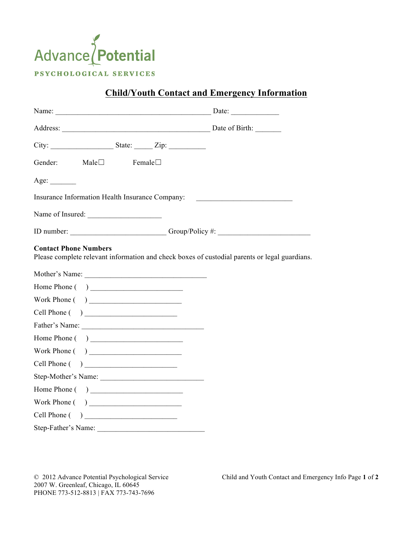

## **Child/Youth Contact and Emergency Information**

| Name: Date: Date:                                                                                                             |  |
|-------------------------------------------------------------------------------------------------------------------------------|--|
|                                                                                                                               |  |
|                                                                                                                               |  |
| Gender: Male□ Female□                                                                                                         |  |
|                                                                                                                               |  |
| Insurance Information Health Insurance Company: ________________________________                                              |  |
|                                                                                                                               |  |
| ID number: ______________________________Group/Policy #: _______________________                                              |  |
| <b>Contact Phone Numbers</b><br>Please complete relevant information and check boxes of custodial parents or legal guardians. |  |
|                                                                                                                               |  |
|                                                                                                                               |  |
|                                                                                                                               |  |
| Cell Phone ()                                                                                                                 |  |
|                                                                                                                               |  |
| $Home 1$ Phone $( )$                                                                                                          |  |
|                                                                                                                               |  |
| Cell Phone ( )                                                                                                                |  |
| Step-Mother's Name:                                                                                                           |  |
| Home Phone ()                                                                                                                 |  |
|                                                                                                                               |  |
| Cell Phone ( )                                                                                                                |  |
| Step-Father's Name:                                                                                                           |  |

2007 W. Greenleaf, Chicago, IL 60645 PHONE 773-512-8813 | FAX 773-743-7696

© 2012 Advance Potential Psychological Service Child and Youth Contact and Emergency Info Page **1** of **2**